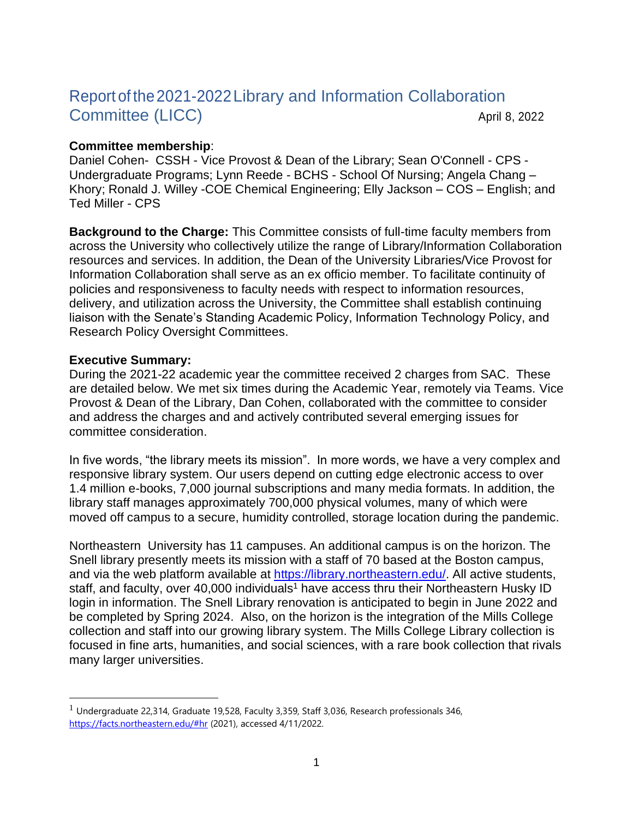# Report of the2021-2022Library and Information Collaboration Committee (LICC) April 8, 2022

#### **Committee membership**:

Daniel Cohen- CSSH - Vice Provost & Dean of the Library; Sean O'Connell - CPS - Undergraduate Programs; Lynn Reede - BCHS - School Of Nursing; Angela Chang – Khory; Ronald J. Willey -COE Chemical Engineering; Elly Jackson – COS – English; and Ted Miller - CPS

**Background to the Charge:** This Committee consists of full-time faculty members from across the University who collectively utilize the range of Library/Information Collaboration resources and services. In addition, the Dean of the University Libraries/Vice Provost for Information Collaboration shall serve as an ex officio member. To facilitate continuity of policies and responsiveness to faculty needs with respect to information resources, delivery, and utilization across the University, the Committee shall establish continuing liaison with the Senate's Standing Academic Policy, Information Technology Policy, and Research Policy Oversight Committees.

#### **Executive Summary:**

During the 2021-22 academic year the committee received 2 charges from SAC. These are detailed below. We met six times during the Academic Year, remotely via Teams. Vice Provost & Dean of the Library, Dan Cohen, collaborated with the committee to consider and address the charges and and actively contributed several emerging issues for committee consideration.

In five words, "the library meets its mission". In more words, we have a very complex and responsive library system. Our users depend on cutting edge electronic access to over 1.4 million e-books, 7,000 journal subscriptions and many media formats. In addition, the library staff manages approximately 700,000 physical volumes, many of which were moved off campus to a secure, humidity controlled, storage location during the pandemic.

Northeastern University has 11 campuses. An additional campus is on the horizon. The Snell library presently meets its mission with a staff of 70 based at the Boston campus, and via the web platform available at [https://library.northeastern.edu/.](https://library.northeastern.edu/) All active students, staff, and faculty, over 40,000 individuals<sup>1</sup> have access thru their Northeastern Husky ID login in information. The Snell Library renovation is anticipated to begin in June 2022 and be completed by Spring 2024. Also, on the horizon is the integration of the Mills College collection and staff into our growing library system. The Mills College Library collection is focused in fine arts, humanities, and social sciences, with a rare book collection that rivals many larger universities.

 $<sup>1</sup>$  Undergraduate 22,314, Graduate 19,528, Faculty 3,359, Staff 3,036, Research professionals 346,</sup> <https://facts.northeastern.edu/#hr> (2021), accessed 4/11/2022.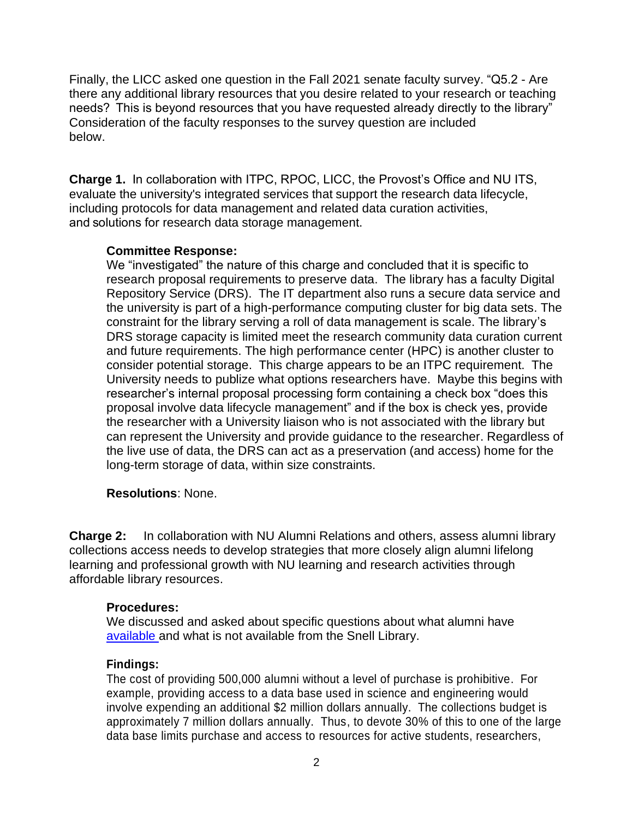Finally, the LICC asked one question in the Fall 2021 senate faculty survey. "Q5.2 - Are there any additional library resources that you desire related to your research or teaching needs?  This is beyond resources that you have requested already directly to the library" Consideration of the faculty responses to the survey question are included below.

**Charge 1.** In collaboration with ITPC, RPOC, LICC, the Provost's Office and NU ITS, evaluate the university's integrated services that support the research data lifecycle, including protocols for data management and related data curation activities, and solutions for research data storage management.

## **Committee Response:**

We "investigated" the nature of this charge and concluded that it is specific to research proposal requirements to preserve data. The library has a faculty Digital Repository Service (DRS). The IT department also runs a secure data service and the university is part of a high-performance computing cluster for big data sets. The constraint for the library serving a roll of data management is scale. The library's DRS storage capacity is limited meet the research community data curation current and future requirements. The high performance center (HPC) is another cluster to consider potential storage. This charge appears to be an ITPC requirement. The University needs to publize what options researchers have. Maybe this begins with researcher's internal proposal processing form containing a check box "does this proposal involve data lifecycle management" and if the box is check yes, provide the researcher with a University liaison who is not associated with the library but can represent the University and provide guidance to the researcher. Regardless of the live use of data, the DRS can act as a preservation (and access) home for the long-term storage of data, within size constraints.

## **Resolutions**: None.

**Charge 2:** In collaboration with NU Alumni Relations and others, assess alumni library collections access needs to develop strategies that more closely align alumni lifelong learning and professional growth with NU learning and research activities through affordable library resources.

#### **Procedures:**

We discussed and asked about specific questions about what alumni have [available a](https://library.northeastern.edu/gateways/alumni)nd what is not available from the Snell Library.

## **Findings:**

The cost of providing 500,000 alumni without a level of purchase is prohibitive. For example, providing access to a data base used in science and engineering would involve expending an additional \$2 million dollars annually. The collections budget is approximately 7 million dollars annually. Thus, to devote 30% of this to one of the large data base limits purchase and access to resources for active students, researchers,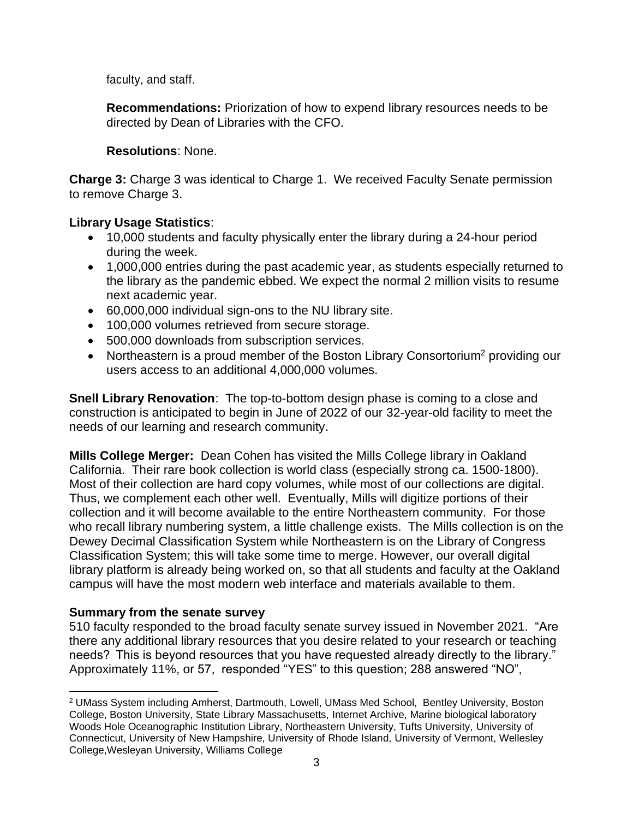faculty, and staff.

**Recommendations:** Priorization of how to expend library resources needs to be directed by Dean of Libraries with the CFO.

# **Resolutions**: None.

**Charge 3:** Charge 3 was identical to Charge 1. We received Faculty Senate permission to remove Charge 3.

# **Library Usage Statistics**:

- 10,000 students and faculty physically enter the library during a 24-hour period during the week.
- 1,000,000 entries during the past academic year, as students especially returned to the library as the pandemic ebbed. We expect the normal 2 million visits to resume next academic year.
- 60,000,000 individual sign-ons to the NU library site.
- 100,000 volumes retrieved from secure storage.
- 500,000 downloads from subscription services.
- Northeastern is a proud member of the Boston Library Consortorium<sup>2</sup> providing our users access to an additional 4,000,000 volumes.

**Snell Library Renovation**: The top-to-bottom design phase is coming to a close and construction is anticipated to begin in June of 2022 of our 32-year-old facility to meet the needs of our learning and research community.

**Mills College Merger:** Dean Cohen has visited the Mills College library in Oakland California. Their rare book collection is world class (especially strong ca. 1500-1800). Most of their collection are hard copy volumes, while most of our collections are digital. Thus, we complement each other well. Eventually, Mills will digitize portions of their collection and it will become available to the entire Northeastern community. For those who recall library numbering system, a little challenge exists. The Mills collection is on the Dewey Decimal Classification System while Northeastern is on the Library of Congress Classification System; this will take some time to merge. However, our overall digital library platform is already being worked on, so that all students and faculty at the Oakland campus will have the most modern web interface and materials available to them.

## **Summary from the senate survey**

510 faculty responded to the broad faculty senate survey issued in November 2021. "Are there any additional library resources that you desire related to your research or teaching needs?  This is beyond resources that you have requested already directly to the library." Approximately 11%, or 57, responded "YES" to this question; 288 answered "NO",

<sup>2</sup> UMass System including Amherst, Dartmouth, Lowell, UMass Med School, Bentley University, Boston College, Boston University, State Library Massachusetts, Internet Archive, Marine biological laboratory Woods Hole Oceanographic Institution Library, Northeastern University, Tufts University, University of Connecticut, University of New Hampshire, University of Rhode Island, University of Vermont, Wellesley College,Wesleyan University, Williams College